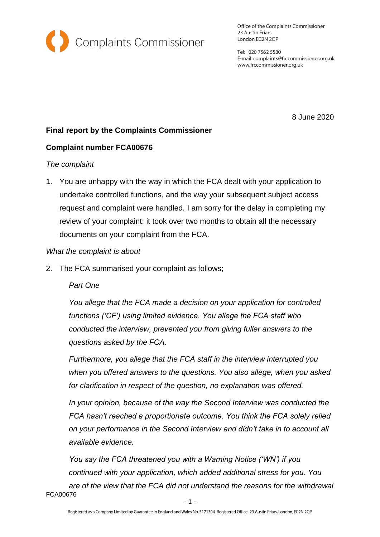

Office of the Complaints Commissioner 23 Austin Friars London EC2N 2QP

Tel: 020 7562 5530 E-mail: complaints@frccommissioner.org.uk www.frccommissioner.org.uk

8 June 2020

# **Final report by the Complaints Commissioner**

# **Complaint number FCA00676**

### *The complaint*

1. You are unhappy with the way in which the FCA dealt with your application to undertake controlled functions, and the way your subsequent subject access request and complaint were handled. I am sorry for the delay in completing my review of your complaint: it took over two months to obtain all the necessary documents on your complaint from the FCA.

### *What the complaint is about*

2. The FCA summarised your complaint as follows;

### *Part One*

*You allege that the FCA made a decision on your application for controlled functions ('CF') using limited evidence. You allege the FCA staff who conducted the interview, prevented you from giving fuller answers to the questions asked by the FCA.*

*Furthermore, you allege that the FCA staff in the interview interrupted you when you offered answers to the questions. You also allege, when you asked for clarification in respect of the question, no explanation was offered.*

*In your opinion, because of the way the Second Interview was conducted the FCA hasn't reached a proportionate outcome. You think the FCA solely relied on your performance in the Second Interview and didn't take in to account all available evidence.*

FCA00676 *You say the FCA threatened you with a Warning Notice ('WN') if you continued with your application, which added additional stress for you. You are of the view that the FCA did not understand the reasons for the withdrawal*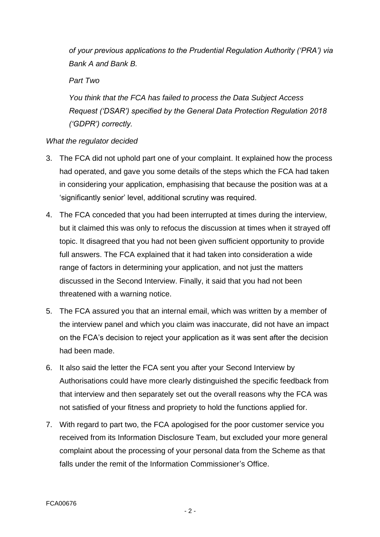*of your previous applications to the Prudential Regulation Authority ('PRA') via Bank A and Bank B.*

## *Part Two*

*You think that the FCA has failed to process the Data Subject Access Request ('DSAR') specified by the General Data Protection Regulation 2018 ('GDPR') correctly.*

# *What the regulator decided*

- 3. The FCA did not uphold part one of your complaint. It explained how the process had operated, and gave you some details of the steps which the FCA had taken in considering your application, emphasising that because the position was at a 'significantly senior' level, additional scrutiny was required.
- 4. The FCA conceded that you had been interrupted at times during the interview, but it claimed this was only to refocus the discussion at times when it strayed off topic. It disagreed that you had not been given sufficient opportunity to provide full answers. The FCA explained that it had taken into consideration a wide range of factors in determining your application, and not just the matters discussed in the Second Interview. Finally, it said that you had not been threatened with a warning notice.
- 5. The FCA assured you that an internal email, which was written by a member of the interview panel and which you claim was inaccurate, did not have an impact on the FCA's decision to reject your application as it was sent after the decision had been made.
- 6. It also said the letter the FCA sent you after your Second Interview by Authorisations could have more clearly distinguished the specific feedback from that interview and then separately set out the overall reasons why the FCA was not satisfied of your fitness and propriety to hold the functions applied for.
- 7. With regard to part two, the FCA apologised for the poor customer service you received from its Information Disclosure Team, but excluded your more general complaint about the processing of your personal data from the Scheme as that falls under the remit of the Information Commissioner's Office.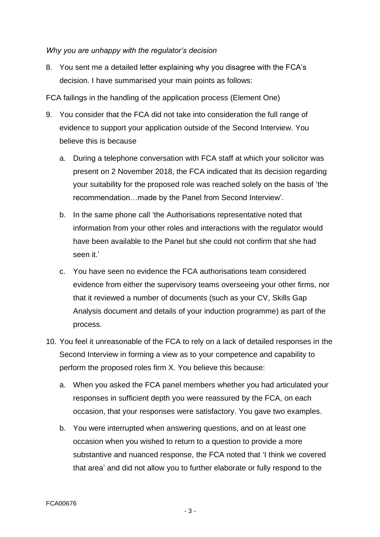### *Why you are unhappy with the regulator's decision*

8. You sent me a detailed letter explaining why you disagree with the FCA's decision. I have summarised your main points as follows:

FCA failings in the handling of the application process (Element One)

- 9. You consider that the FCA did not take into consideration the full range of evidence to support your application outside of the Second Interview. You believe this is because
	- a. During a telephone conversation with FCA staff at which your solicitor was present on 2 November 2018, the FCA indicated that its decision regarding your suitability for the proposed role was reached solely on the basis of 'the recommendation…made by the Panel from Second Interview'.
	- b. In the same phone call 'the Authorisations representative noted that information from your other roles and interactions with the regulator would have been available to the Panel but she could not confirm that she had seen it.'
	- c. You have seen no evidence the FCA authorisations team considered evidence from either the supervisory teams overseeing your other firms, nor that it reviewed a number of documents (such as your CV, Skills Gap Analysis document and details of your induction programme) as part of the process.
- 10. You feel it unreasonable of the FCA to rely on a lack of detailed responses in the Second Interview in forming a view as to your competence and capability to perform the proposed roles firm X. You believe this because:
	- a. When you asked the FCA panel members whether you had articulated your responses in sufficient depth you were reassured by the FCA, on each occasion, that your responses were satisfactory. You gave two examples.
	- b. You were interrupted when answering questions, and on at least one occasion when you wished to return to a question to provide a more substantive and nuanced response, the FCA noted that 'I think we covered that area' and did not allow you to further elaborate or fully respond to the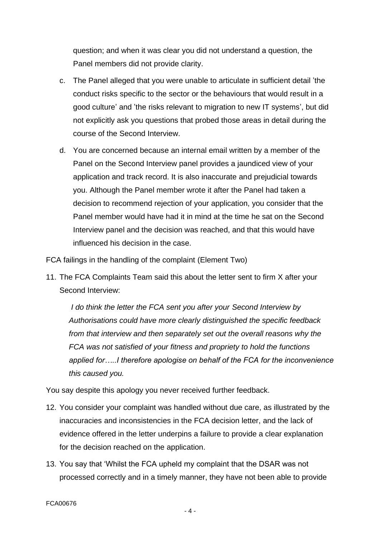question; and when it was clear you did not understand a question, the Panel members did not provide clarity.

- c. The Panel alleged that you were unable to articulate in sufficient detail 'the conduct risks specific to the sector or the behaviours that would result in a good culture' and 'the risks relevant to migration to new IT systems', but did not explicitly ask you questions that probed those areas in detail during the course of the Second Interview.
- d. You are concerned because an internal email written by a member of the Panel on the Second Interview panel provides a jaundiced view of your application and track record. It is also inaccurate and prejudicial towards you. Although the Panel member wrote it after the Panel had taken a decision to recommend rejection of your application, you consider that the Panel member would have had it in mind at the time he sat on the Second Interview panel and the decision was reached, and that this would have influenced his decision in the case.

FCA failings in the handling of the complaint (Element Two)

11. The FCA Complaints Team said this about the letter sent to firm X after your Second Interview:

*I do think the letter the FCA sent you after your Second Interview by Authorisations could have more clearly distinguished the specific feedback from that interview and then separately set out the overall reasons why the FCA was not satisfied of your fitness and propriety to hold the functions applied for…..I therefore apologise on behalf of the FCA for the inconvenience this caused you.*

You say despite this apology you never received further feedback.

- 12. You consider your complaint was handled without due care, as illustrated by the inaccuracies and inconsistencies in the FCA decision letter, and the lack of evidence offered in the letter underpins a failure to provide a clear explanation for the decision reached on the application.
- 13. You say that 'Whilst the FCA upheld my complaint that the DSAR was not processed correctly and in a timely manner, they have not been able to provide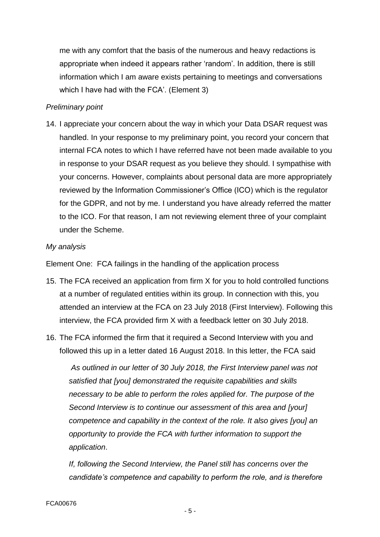me with any comfort that the basis of the numerous and heavy redactions is appropriate when indeed it appears rather 'random'. In addition, there is still information which I am aware exists pertaining to meetings and conversations which I have had with the FCA'. (Element 3)

#### *Preliminary point*

14. I appreciate your concern about the way in which your Data DSAR request was handled. In your response to my preliminary point, you record your concern that internal FCA notes to which I have referred have not been made available to you in response to your DSAR request as you believe they should. I sympathise with your concerns. However, complaints about personal data are more appropriately reviewed by the Information Commissioner's Office (ICO) which is the regulator for the GDPR, and not by me. I understand you have already referred the matter to the ICO. For that reason, I am not reviewing element three of your complaint under the Scheme.

#### *My analysis*

Element One: FCA failings in the handling of the application process

- 15. The FCA received an application from firm X for you to hold controlled functions at a number of regulated entities within its group. In connection with this, you attended an interview at the FCA on 23 July 2018 (First Interview). Following this interview, the FCA provided firm X with a feedback letter on 30 July 2018.
- 16. The FCA informed the firm that it required a Second Interview with you and followed this up in a letter dated 16 August 2018. In this letter, the FCA said

*As outlined in our letter of 30 July 2018, the First Interview panel was not satisfied that [you] demonstrated the requisite capabilities and skills necessary to be able to perform the roles applied for. The purpose of the Second Interview is to continue our assessment of this area and [your] competence and capability in the context of the role. It also gives [you] an opportunity to provide the FCA with further information to support the application*.

*If, following the Second Interview, the Panel still has concerns over the candidate's competence and capability to perform the role, and is therefore*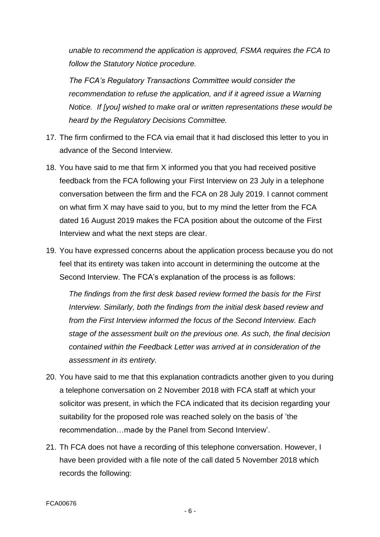*unable to recommend the application is approved, FSMA requires the FCA to follow the Statutory Notice procedure.* 

*The FCA's Regulatory Transactions Committee would consider the recommendation to refuse the application, and if it agreed issue a Warning Notice. If [you] wished to make oral or written representations these would be heard by the Regulatory Decisions Committee.*

- 17. The firm confirmed to the FCA via email that it had disclosed this letter to you in advance of the Second Interview.
- 18. You have said to me that firm X informed you that you had received positive feedback from the FCA following your First Interview on 23 July in a telephone conversation between the firm and the FCA on 28 July 2019. I cannot comment on what firm X may have said to you, but to my mind the letter from the FCA dated 16 August 2019 makes the FCA position about the outcome of the First Interview and what the next steps are clear.
- 19. You have expressed concerns about the application process because you do not feel that its entirety was taken into account in determining the outcome at the Second Interview. The FCA's explanation of the process is as follows:

*The findings from the first desk based review formed the basis for the First Interview. Similarly, both the findings from the initial desk based review and from the First Interview informed the focus of the Second Interview. Each stage of the assessment built on the previous one. As such, the final decision contained within the Feedback Letter was arrived at in consideration of the assessment in its entirety.*

- 20. You have said to me that this explanation contradicts another given to you during a telephone conversation on 2 November 2018 with FCA staff at which your solicitor was present, in which the FCA indicated that its decision regarding your suitability for the proposed role was reached solely on the basis of 'the recommendation…made by the Panel from Second Interview'.
- 21. Th FCA does not have a recording of this telephone conversation. However, I have been provided with a file note of the call dated 5 November 2018 which records the following: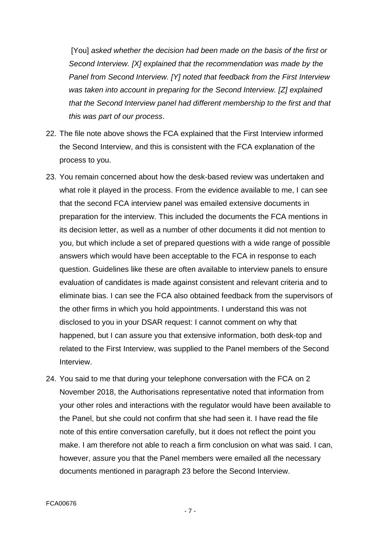[You] *asked whether the decision had been made on the basis of the first or Second Interview. [X] explained that the recommendation was made by the Panel from Second Interview. [Y] noted that feedback from the First Interview was taken into account in preparing for the Second Interview. [Z] explained that the Second Interview panel had different membership to the first and that this was part of our process*.

- 22. The file note above shows the FCA explained that the First Interview informed the Second Interview, and this is consistent with the FCA explanation of the process to you.
- 23. You remain concerned about how the desk-based review was undertaken and what role it played in the process. From the evidence available to me, I can see that the second FCA interview panel was emailed extensive documents in preparation for the interview. This included the documents the FCA mentions in its decision letter, as well as a number of other documents it did not mention to you, but which include a set of prepared questions with a wide range of possible answers which would have been acceptable to the FCA in response to each question. Guidelines like these are often available to interview panels to ensure evaluation of candidates is made against consistent and relevant criteria and to eliminate bias. I can see the FCA also obtained feedback from the supervisors of the other firms in which you hold appointments. I understand this was not disclosed to you in your DSAR request: I cannot comment on why that happened, but I can assure you that extensive information, both desk-top and related to the First Interview, was supplied to the Panel members of the Second Interview.
- 24. You said to me that during your telephone conversation with the FCA on 2 November 2018, the Authorisations representative noted that information from your other roles and interactions with the regulator would have been available to the Panel, but she could not confirm that she had seen it. I have read the file note of this entire conversation carefully, but it does not reflect the point you make. I am therefore not able to reach a firm conclusion on what was said. I can, however, assure you that the Panel members were emailed all the necessary documents mentioned in paragraph 23 before the Second Interview.

- 7 -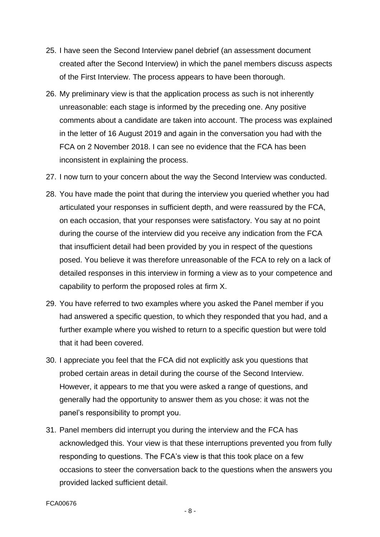- 25. I have seen the Second Interview panel debrief (an assessment document created after the Second Interview) in which the panel members discuss aspects of the First Interview. The process appears to have been thorough.
- 26. My preliminary view is that the application process as such is not inherently unreasonable: each stage is informed by the preceding one. Any positive comments about a candidate are taken into account. The process was explained in the letter of 16 August 2019 and again in the conversation you had with the FCA on 2 November 2018. I can see no evidence that the FCA has been inconsistent in explaining the process.
- 27. I now turn to your concern about the way the Second Interview was conducted.
- 28. You have made the point that during the interview you queried whether you had articulated your responses in sufficient depth, and were reassured by the FCA, on each occasion, that your responses were satisfactory. You say at no point during the course of the interview did you receive any indication from the FCA that insufficient detail had been provided by you in respect of the questions posed. You believe it was therefore unreasonable of the FCA to rely on a lack of detailed responses in this interview in forming a view as to your competence and capability to perform the proposed roles at firm X.
- 29. You have referred to two examples where you asked the Panel member if you had answered a specific question, to which they responded that you had, and a further example where you wished to return to a specific question but were told that it had been covered.
- 30. I appreciate you feel that the FCA did not explicitly ask you questions that probed certain areas in detail during the course of the Second Interview. However, it appears to me that you were asked a range of questions, and generally had the opportunity to answer them as you chose: it was not the panel's responsibility to prompt you.
- 31. Panel members did interrupt you during the interview and the FCA has acknowledged this. Your view is that these interruptions prevented you from fully responding to questions. The FCA's view is that this took place on a few occasions to steer the conversation back to the questions when the answers you provided lacked sufficient detail.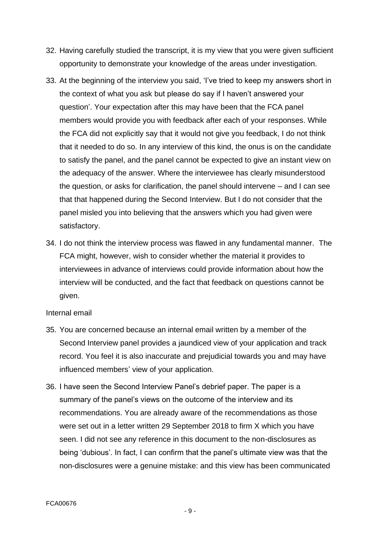- 32. Having carefully studied the transcript, it is my view that you were given sufficient opportunity to demonstrate your knowledge of the areas under investigation.
- 33. At the beginning of the interview you said, 'I've tried to keep my answers short in the context of what you ask but please do say if I haven't answered your question'. Your expectation after this may have been that the FCA panel members would provide you with feedback after each of your responses. While the FCA did not explicitly say that it would not give you feedback, I do not think that it needed to do so. In any interview of this kind, the onus is on the candidate to satisfy the panel, and the panel cannot be expected to give an instant view on the adequacy of the answer. Where the interviewee has clearly misunderstood the question, or asks for clarification, the panel should intervene – and I can see that that happened during the Second Interview. But I do not consider that the panel misled you into believing that the answers which you had given were satisfactory.
- 34. I do not think the interview process was flawed in any fundamental manner. The FCA might, however, wish to consider whether the material it provides to interviewees in advance of interviews could provide information about how the interview will be conducted, and the fact that feedback on questions cannot be given.

#### Internal email

- 35. You are concerned because an internal email written by a member of the Second Interview panel provides a jaundiced view of your application and track record. You feel it is also inaccurate and prejudicial towards you and may have influenced members' view of your application.
- 36. I have seen the Second Interview Panel's debrief paper. The paper is a summary of the panel's views on the outcome of the interview and its recommendations. You are already aware of the recommendations as those were set out in a letter written 29 September 2018 to firm X which you have seen. I did not see any reference in this document to the non-disclosures as being 'dubious'. In fact, I can confirm that the panel's ultimate view was that the non-disclosures were a genuine mistake: and this view has been communicated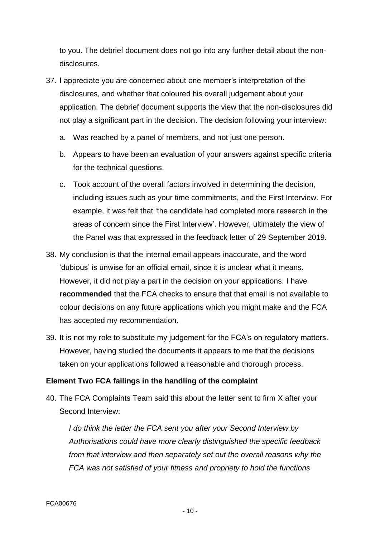to you. The debrief document does not go into any further detail about the nondisclosures.

- 37. I appreciate you are concerned about one member's interpretation of the disclosures, and whether that coloured his overall judgement about your application. The debrief document supports the view that the non-disclosures did not play a significant part in the decision. The decision following your interview:
	- a. Was reached by a panel of members, and not just one person.
	- b. Appears to have been an evaluation of your answers against specific criteria for the technical questions.
	- c. Took account of the overall factors involved in determining the decision, including issues such as your time commitments, and the First Interview. For example, it was felt that 'the candidate had completed more research in the areas of concern since the First Interview'. However, ultimately the view of the Panel was that expressed in the feedback letter of 29 September 2019.
- 38. My conclusion is that the internal email appears inaccurate, and the word 'dubious' is unwise for an official email, since it is unclear what it means. However, it did not play a part in the decision on your applications. I have **recommended** that the FCA checks to ensure that that email is not available to colour decisions on any future applications which you might make and the FCA has accepted my recommendation.
- 39. It is not my role to substitute my judgement for the FCA's on regulatory matters. However, having studied the documents it appears to me that the decisions taken on your applications followed a reasonable and thorough process.

### **Element Two FCA failings in the handling of the complaint**

40. The FCA Complaints Team said this about the letter sent to firm X after your Second Interview:

*I do think the letter the FCA sent you after your Second Interview by Authorisations could have more clearly distinguished the specific feedback from that interview and then separately set out the overall reasons why the FCA was not satisfied of your fitness and propriety to hold the functions*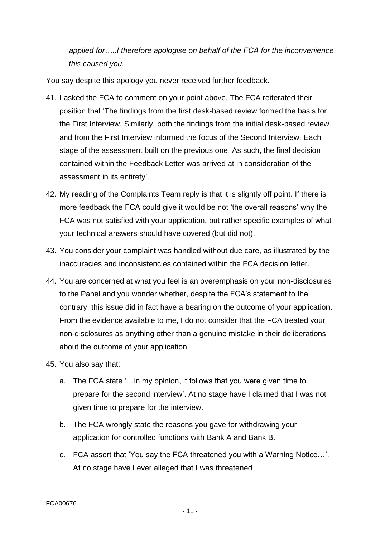*applied for…..I therefore apologise on behalf of the FCA for the inconvenience this caused you.*

You say despite this apology you never received further feedback.

- 41. I asked the FCA to comment on your point above. The FCA reiterated their position that 'The findings from the first desk-based review formed the basis for the First Interview. Similarly, both the findings from the initial desk-based review and from the First Interview informed the focus of the Second Interview. Each stage of the assessment built on the previous one. As such, the final decision contained within the Feedback Letter was arrived at in consideration of the assessment in its entirety'.
- 42. My reading of the Complaints Team reply is that it is slightly off point. If there is more feedback the FCA could give it would be not 'the overall reasons' why the FCA was not satisfied with your application, but rather specific examples of what your technical answers should have covered (but did not).
- 43. You consider your complaint was handled without due care, as illustrated by the inaccuracies and inconsistencies contained within the FCA decision letter.
- 44. You are concerned at what you feel is an overemphasis on your non-disclosures to the Panel and you wonder whether, despite the FCA's statement to the contrary, this issue did in fact have a bearing on the outcome of your application. From the evidence available to me, I do not consider that the FCA treated your non-disclosures as anything other than a genuine mistake in their deliberations about the outcome of your application.
- 45. You also say that:
	- a. The FCA state '…in my opinion, it follows that you were given time to prepare for the second interview'. At no stage have I claimed that I was not given time to prepare for the interview.
	- b. The FCA wrongly state the reasons you gave for withdrawing your application for controlled functions with Bank A and Bank B.
	- c. FCA assert that 'You say the FCA threatened you with a Warning Notice…'. At no stage have I ever alleged that I was threatened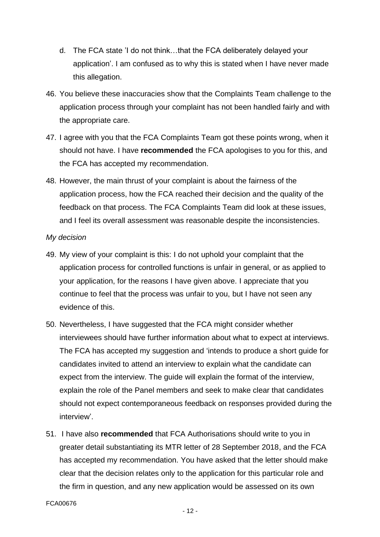- d. The FCA state 'I do not think…that the FCA deliberately delayed your application'. I am confused as to why this is stated when I have never made this allegation.
- 46. You believe these inaccuracies show that the Complaints Team challenge to the application process through your complaint has not been handled fairly and with the appropriate care.
- 47. I agree with you that the FCA Complaints Team got these points wrong, when it should not have. I have **recommended** the FCA apologises to you for this, and the FCA has accepted my recommendation.
- 48. However, the main thrust of your complaint is about the fairness of the application process, how the FCA reached their decision and the quality of the feedback on that process. The FCA Complaints Team did look at these issues, and I feel its overall assessment was reasonable despite the inconsistencies.

#### *My decision*

- 49. My view of your complaint is this: I do not uphold your complaint that the application process for controlled functions is unfair in general, or as applied to your application, for the reasons I have given above. I appreciate that you continue to feel that the process was unfair to you, but I have not seen any evidence of this.
- 50. Nevertheless, I have suggested that the FCA might consider whether interviewees should have further information about what to expect at interviews. The FCA has accepted my suggestion and 'intends to produce a short guide for candidates invited to attend an interview to explain what the candidate can expect from the interview. The guide will explain the format of the interview, explain the role of the Panel members and seek to make clear that candidates should not expect contemporaneous feedback on responses provided during the interview'.
- 51. I have also **recommended** that FCA Authorisations should write to you in greater detail substantiating its MTR letter of 28 September 2018, and the FCA has accepted my recommendation. You have asked that the letter should make clear that the decision relates only to the application for this particular role and the firm in question, and any new application would be assessed on its own